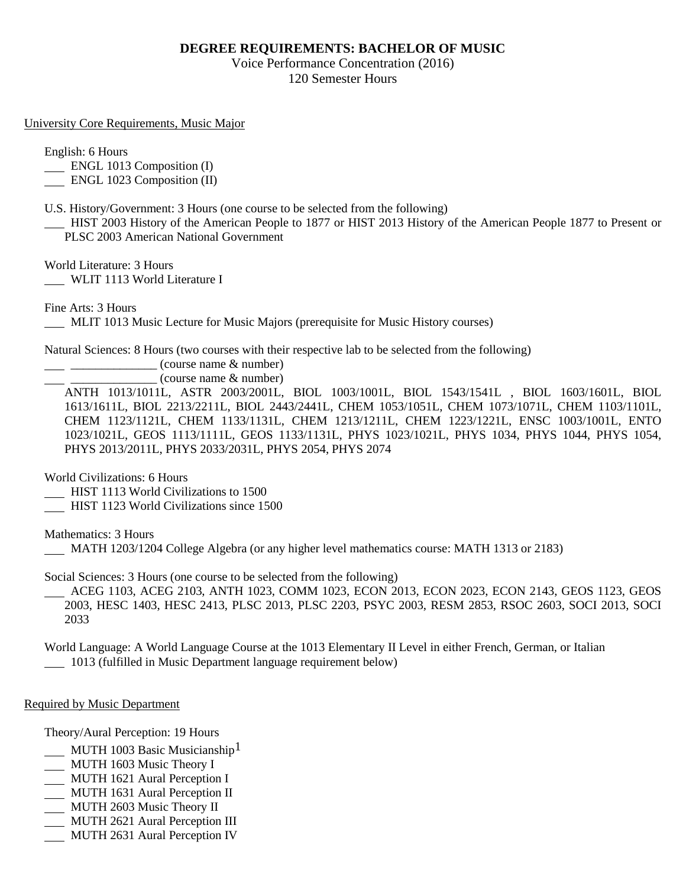## **DEGREE REQUIREMENTS: BACHELOR OF MUSIC**

Voice Performance Concentration (2016) 120 Semester Hours

University Core Requirements, Music Major

English: 6 Hours

ENGL 1013 Composition (I)

ENGL 1023 Composition (II)

U.S. History/Government: 3 Hours (one course to be selected from the following)

 HIST 2003 History of the American People to 1877 or HIST 2013 History of the American People 1877 to Present or PLSC 2003 American National Government

World Literature: 3 Hours

WLIT 1113 World Literature I

Fine Arts: 3 Hours

MLIT 1013 Music Lecture for Music Majors (prerequisite for Music History courses)

Natural Sciences: 8 Hours (two courses with their respective lab to be selected from the following)

 $\frac{1}{2}$   $\frac{1}{2}$   $\frac{1}{2}$   $\frac{1}{2}$  (course name & number)

 $\equiv$  (course name  $\&$  number)

ANTH 1013/1011L, ASTR 2003/2001L, BIOL 1003/1001L, BIOL 1543/1541L , BIOL 1603/1601L, BIOL 1613/1611L, BIOL 2213/2211L, BIOL 2443/2441L, CHEM 1053/1051L, CHEM 1073/1071L, CHEM 1103/1101L, CHEM 1123/1121L, CHEM 1133/1131L, CHEM 1213/1211L, CHEM 1223/1221L, ENSC 1003/1001L, ENTO 1023/1021L, GEOS 1113/1111L, GEOS 1133/1131L, PHYS 1023/1021L, PHYS 1034, PHYS 1044, PHYS 1054, PHYS 2013/2011L, PHYS 2033/2031L, PHYS 2054, PHYS 2074

World Civilizations: 6 Hours

- HIST 1113 World Civilizations to 1500
- HIST 1123 World Civilizations since 1500

Mathematics: 3 Hours

MATH 1203/1204 College Algebra (or any higher level mathematics course: MATH 1313 or 2183)

Social Sciences: 3 Hours (one course to be selected from the following)

 ACEG 1103, ACEG 2103, ANTH 1023, COMM 1023, ECON 2013, ECON 2023, ECON 2143, GEOS 1123, GEOS 2003, HESC 1403, HESC 2413, PLSC 2013, PLSC 2203, PSYC 2003, RESM 2853, RSOC 2603, SOCI 2013, SOCI 2033

World Language: A World Language Course at the 1013 Elementary II Level in either French, German, or Italian 1013 (fulfilled in Music Department language requirement below)

## Required by Music Department

Theory/Aural Perception: 19 Hours

- MUTH 1003 Basic Musicianship
- MUTH 1603 Music Theory I
- MUTH 1621 Aural Perception I
- MUTH 1631 Aural Perception II
- MUTH 2603 Music Theory II
- MUTH 2621 Aural Perception III
- MUTH 2631 Aural Perception IV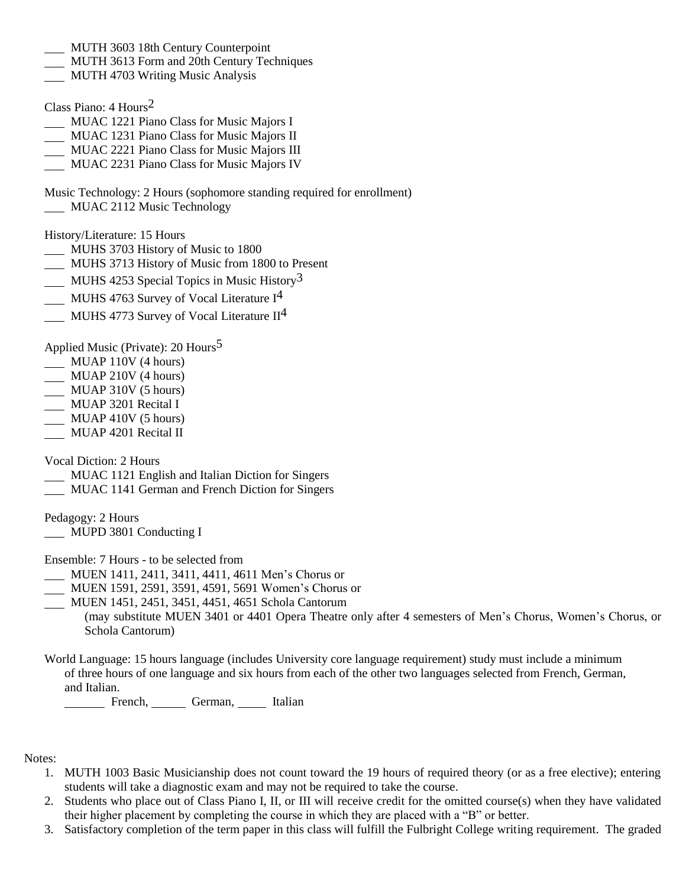- MUTH 3603 18th Century Counterpoint
- MUTH 3613 Form and 20th Century Techniques
- MUTH 4703 Writing Music Analysis

Class Piano: 4 Hours2

- MUAC 1221 Piano Class for Music Majors I
- MUAC 1231 Piano Class for Music Majors II
- MUAC 2221 Piano Class for Music Majors III
- MUAC 2231 Piano Class for Music Majors IV

Music Technology: 2 Hours (sophomore standing required for enrollment)

MUAC 2112 Music Technology

History/Literature: 15 Hours

- MUHS 3703 History of Music to 1800
- MUHS 3713 History of Music from 1800 to Present
- $\underline{\hspace{1cm}}$  MUHS 4253 Special Topics in Music History<sup>3</sup>
- MUHS 4763 Survey of Vocal Literature I<sup>4</sup>
- MUHS 4773 Survey of Vocal Literature  $II<sup>4</sup>$

Applied Music (Private): 20 Hours<sup>5</sup>

- MUAP 110V (4 hours)
- MUAP 210V (4 hours)
- $\overline{\phantom{0}}$  MUAP 310V (5 hours)
- MUAP 3201 Recital I
- MUAP 410V (5 hours)
- MUAP 4201 Recital II

Vocal Diction: 2 Hours

- MUAC 1121 English and Italian Diction for Singers
- MUAC 1141 German and French Diction for Singers

Pedagogy: 2 Hours

MUPD 3801 Conducting I

Ensemble: 7 Hours - to be selected from

- MUEN 1411, 2411, 3411, 4411, 4611 Men's Chorus or
- MUEN 1591, 2591, 3591, 4591, 5691 Women's Chorus or

MUEN 1451, 2451, 3451, 4451, 4651 Schola Cantorum

(may substitute MUEN 3401 or 4401 Opera Theatre only after 4 semesters of Men's Chorus, Women's Chorus, or Schola Cantorum)

World Language: 15 hours language (includes University core language requirement) study must include a minimum of three hours of one language and six hours from each of the other two languages selected from French, German, and Italian.

French, German, Italian

Notes:

- 1. MUTH 1003 Basic Musicianship does not count toward the 19 hours of required theory (or as a free elective); entering students will take a diagnostic exam and may not be required to take the course.
- 2. Students who place out of Class Piano I, II, or III will receive credit for the omitted course(s) when they have validated their higher placement by completing the course in which they are placed with a "B" or better.
- 3. Satisfactory completion of the term paper in this class will fulfill the Fulbright College writing requirement. The graded